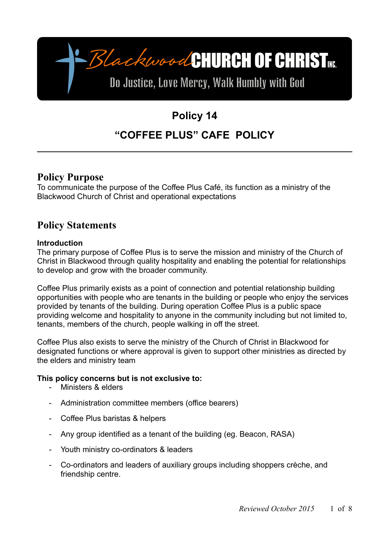-BlackwoodCHURCH OF CHRIST

# Do Justice, Love Mercy, Walk Humbly with God

# **Policy 14**

# **"COFFEE PLUS" CAFE POLICY**

## **Policy Purpose**

To communicate the purpose of the Coffee Plus Café, its function as a ministry of the Blackwood Church of Christ and operational expectations

# **Policy Statements**

### **Introduction**

The primary purpose of Coffee Plus is to serve the mission and ministry of the Church of Christ in Blackwood through quality hospitality and enabling the potential for relationships to develop and grow with the broader community.

Coffee Plus primarily exists as a point of connection and potential relationship building opportunities with people who are tenants in the building or people who enjoy the services provided by tenants of the building. During operation Coffee Plus is a public space providing welcome and hospitality to anyone in the community including but not limited to, tenants, members of the church, people walking in off the street.

Coffee Plus also exists to serve the ministry of the Church of Christ in Blackwood for designated functions or where approval is given to support other ministries as directed by the elders and ministry team

### **This policy concerns but is not exclusive to:**

- Ministers & elders
- Administration committee members (office bearers)
- Coffee Plus baristas & helpers
- Any group identified as a tenant of the building (eg. Beacon, RASA)
- Youth ministry co-ordinators & leaders
- Co-ordinators and leaders of auxiliary groups including shoppers crèche, and friendship centre.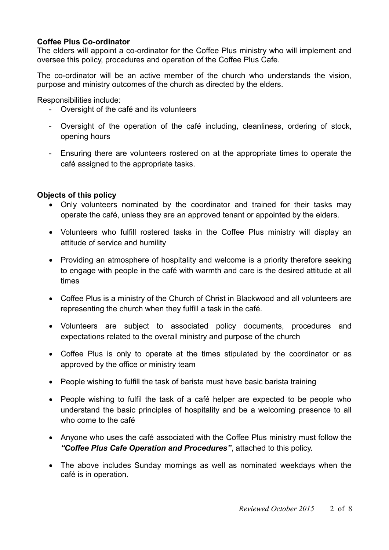### **Coffee Plus Co-ordinator**

The elders will appoint a co-ordinator for the Coffee Plus ministry who will implement and oversee this policy, procedures and operation of the Coffee Plus Cafe.

The co-ordinator will be an active member of the church who understands the vision, purpose and ministry outcomes of the church as directed by the elders.

Responsibilities include:

- Oversight of the café and its volunteers
- Oversight of the operation of the café including, cleanliness, ordering of stock, opening hours
- Ensuring there are volunteers rostered on at the appropriate times to operate the café assigned to the appropriate tasks.

### **Objects of this policy**

- Only volunteers nominated by the coordinator and trained for their tasks may operate the café, unless they are an approved tenant or appointed by the elders.
- Volunteers who fulfill rostered tasks in the Coffee Plus ministry will display an attitude of service and humility
- Providing an atmosphere of hospitality and welcome is a priority therefore seeking to engage with people in the café with warmth and care is the desired attitude at all times
- Coffee Plus is a ministry of the Church of Christ in Blackwood and all volunteers are representing the church when they fulfill a task in the café.
- Volunteers are subject to associated policy documents, procedures and expectations related to the overall ministry and purpose of the church
- Coffee Plus is only to operate at the times stipulated by the coordinator or as approved by the office or ministry team
- People wishing to fulfill the task of barista must have basic barista training
- People wishing to fulfil the task of a café helper are expected to be people who understand the basic principles of hospitality and be a welcoming presence to all who come to the café
- Anyone who uses the café associated with the Coffee Plus ministry must follow the *"Coffee Plus Cafe Operation and Procedures"*, attached to this policy.
- The above includes Sunday mornings as well as nominated weekdays when the café is in operation.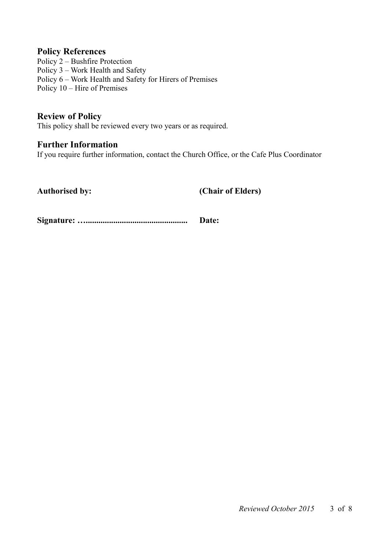### **Policy References**

Policy 2 – Bushfire Protection Policy 3 – Work Health and Safety Policy 6 – Work Health and Safety for Hirers of Premises Policy 10 – Hire of Premises

**Review of Policy** This policy shall be reviewed every two years or as required.

### **Further Information**

If you require further information, contact the Church Office, or the Cafe Plus Coordinator

**Authorised by: (Chair of Elders)**

**Signature: …................................................ Date:**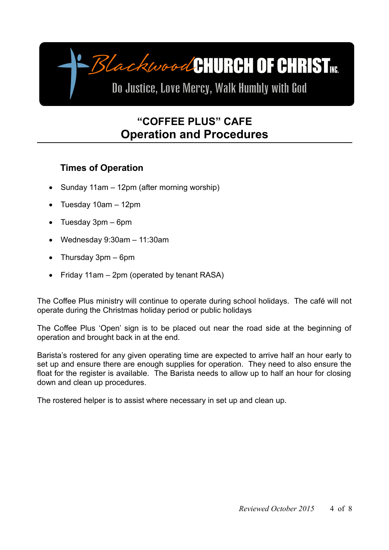# BlackwoodCHURCH OF CHRIST

Do Justice, Love Mercy, Walk Humbly with God

# **"COFFEE PLUS" CAFE Operation and Procedures**

# **Times of Operation**

- Sunday 11am 12pm (after morning worship)
- $\bullet$  Tuesday 10am  $-$  12pm
- Tuesday 3pm 6pm
- Wednesday 9:30am 11:30am
- Thursday 3pm 6pm
- Friday 11am  $-$  2pm (operated by tenant RASA)

The Coffee Plus ministry will continue to operate during school holidays. The café will not operate during the Christmas holiday period or public holidays

The Coffee Plus 'Open' sign is to be placed out near the road side at the beginning of operation and brought back in at the end.

Barista's rostered for any given operating time are expected to arrive half an hour early to set up and ensure there are enough supplies for operation. They need to also ensure the float for the register is available. The Barista needs to allow up to half an hour for closing down and clean up procedures.

The rostered helper is to assist where necessary in set up and clean up.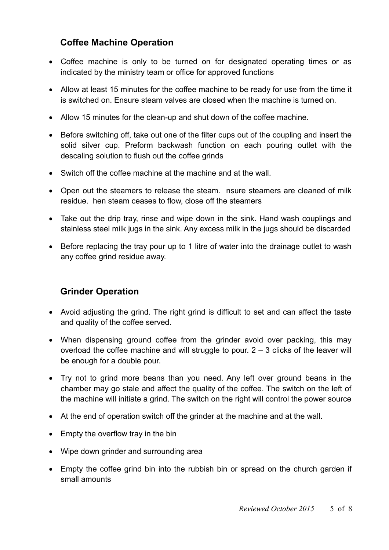## **Coffee Machine Operation**

- Coffee machine is only to be turned on for designated operating times or as indicated by the ministry team or office for approved functions
- Allow at least 15 minutes for the coffee machine to be ready for use from the time it is switched on. Ensure steam valves are closed when the machine is turned on.
- Allow 15 minutes for the clean-up and shut down of the coffee machine.
- Before switching off, take out one of the filter cups out of the coupling and insert the solid silver cup. Preform backwash function on each pouring outlet with the descaling solution to flush out the coffee grinds
- Switch off the coffee machine at the machine and at the wall.
- Open out the steamers to release the steam. nsure steamers are cleaned of milk residue. hen steam ceases to flow, close off the steamers
- Take out the drip tray, rinse and wipe down in the sink. Hand wash couplings and stainless steel milk jugs in the sink. Any excess milk in the jugs should be discarded
- Before replacing the tray pour up to 1 litre of water into the drainage outlet to wash any coffee grind residue away.

### **Grinder Operation**

- Avoid adjusting the grind. The right grind is difficult to set and can affect the taste and quality of the coffee served.
- When dispensing ground coffee from the grinder avoid over packing, this may overload the coffee machine and will struggle to pour.  $2 - 3$  clicks of the leaver will be enough for a double pour.
- Try not to grind more beans than you need. Any left over ground beans in the chamber may go stale and affect the quality of the coffee. The switch on the left of the machine will initiate a grind. The switch on the right will control the power source
- At the end of operation switch off the grinder at the machine and at the wall.
- $\bullet$  Empty the overflow tray in the bin
- Wipe down grinder and surrounding area
- Empty the coffee grind bin into the rubbish bin or spread on the church garden if small amounts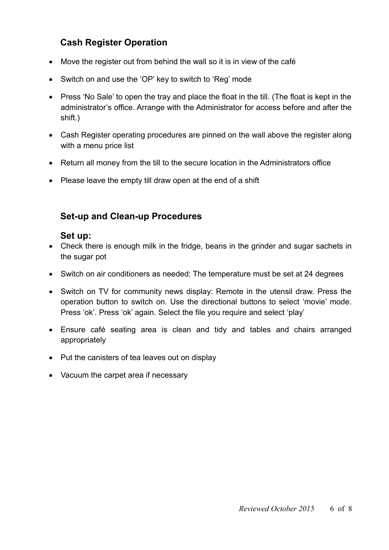## **Cash Register Operation**

- Move the register out from behind the wall so it is in view of the café
- Switch on and use the 'OP' key to switch to 'Reg' mode
- Press 'No Sale' to open the tray and place the float in the till. (The float is kept in the administrator's office. Arrange with the Administrator for access before and after the shift.)
- Cash Register operating procedures are pinned on the wall above the register along with a menu price list
- Return all money from the till to the secure location in the Administrators office
- Please leave the empty till draw open at the end of a shift

## **Set-up and Clean-up Procedures**

### **Set up:**

- Check there is enough milk in the fridge, beans in the grinder and sugar sachets in the sugar pot
- Switch on air conditioners as needed: The temperature must be set at 24 degrees
- Switch on TV for community news display: Remote in the utensil draw. Press the operation button to switch on. Use the directional buttons to select 'movie' mode. Press 'ok'. Press 'ok' again. Select the file you require and select 'play'
- Ensure café seating area is clean and tidy and tables and chairs arranged appropriately
- Put the canisters of tea leaves out on display
- Vacuum the carpet area if necessary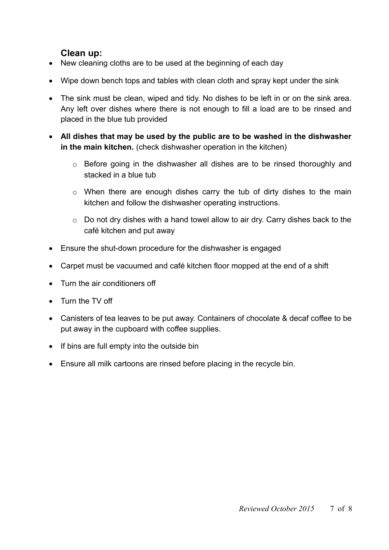### **Clean up:**

- New cleaning cloths are to be used at the beginning of each day
- Wipe down bench tops and tables with clean cloth and spray kept under the sink
- The sink must be clean, wiped and tidy. No dishes to be left in or on the sink area. Any left over dishes where there is not enough to fill a load are to be rinsed and placed in the blue tub provided
- **All dishes that may be used by the public are to be washed in the dishwasher in the main kitchen.** (check dishwasher operation in the kitchen)
	- o Before going in the dishwasher all dishes are to be rinsed thoroughly and stacked in a blue tub
	- o When there are enough dishes carry the tub of dirty dishes to the main kitchen and follow the dishwasher operating instructions.
	- $\circ$  Do not dry dishes with a hand towel allow to air dry. Carry dishes back to the café kitchen and put away
- Ensure the shut-down procedure for the dishwasher is engaged
- Carpet must be vacuumed and café kitchen floor mopped at the end of a shift
- Turn the air conditioners off
- Turn the TV off
- Canisters of tea leaves to be put away. Containers of chocolate & decaf coffee to be put away in the cupboard with coffee supplies.
- $\bullet$  If bins are full empty into the outside bin
- Ensure all milk cartoons are rinsed before placing in the recycle bin.